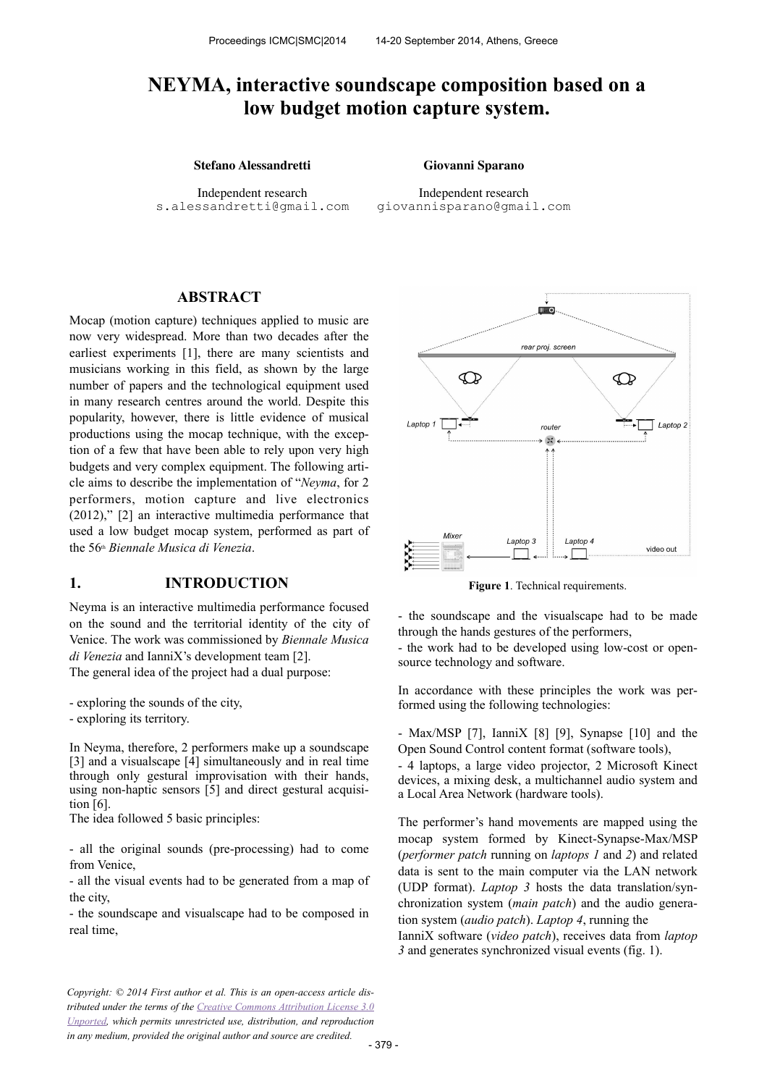# **NEYMA, interactive soundscape composition based on a low budget motion capture system.**

#### **Stefano Alessandretti Giovanni Sparano**

Independent research [s.alessandretti@gmail.com](mailto:author1@smcnetwork.org?subject=SMC%25202010%2520paper)

Independent research [giovannisparano@gmail.com](mailto:author2@smcnetwork.org)

#### **ABSTRACT**

Mocap (motion capture) techniques applied to music are now very widespread. More than two decades after the earliest experiments [1], there are many scientists and musicians working in this field, as shown by the large number of papers and the technological equipment used in many research centres around the world. Despite this popularity, however, there is little evidence of musical productions using the mocap technique, with the exception of a few that have been able to rely upon very high budgets and very complex equipment. The following article aims to describe the implementation of "*Neyma*, for 2 performers, motion capture and live electronics (2012)," [2] an interactive multimedia performance that used a low budget mocap system, performed as part of the 56th *Biennale Musica di Venezia*.

#### **1. INTRODUCTION**

Neyma is an interactive multimedia performance focused on the sound and the territorial identity of the city of Venice. The work was commissioned by *Biennale Musica di Venezia* and IanniX's development team [2].

The general idea of the project had a dual purpose:

- exploring the sounds of the city,

- exploring its territory.

In Neyma, therefore, 2 performers make up a soundscape [3] and a visual scape [4] simultaneously and in real time through only gestural improvisation with their hands, using non-haptic sensors [5] and direct gestural acquisition [6].

The idea followed 5 basic principles:

- all the original sounds (pre-processing) had to come from Venice,

- all the visual events had to be generated from a map of the city,

- the soundscape and visualscape had to be composed in real time,





**Figure 1**. Technical requirements.

- the soundscape and the visualscape had to be made through the hands gestures of the performers,

- the work had to be developed using low-cost or opensource technology and software.

In accordance with these principles the work was performed using the following technologies:

- Max/MSP [7], IanniX [8] [9], Synapse [10] and the Open Sound Control content format (software tools),

- 4 laptops, a large video projector, 2 Microsoft Kinect devices, a mixing desk, a multichannel audio system and a Local Area Network (hardware tools).

The performer's hand movements are mapped using the mocap system formed by Kinect-Synapse-Max/MSP (*performer patch* running on *laptops 1* and *2*) and related data is sent to the main computer via the LAN network (UDP format). *Laptop 3* hosts the data translation/synchronization system (*main patch*) and the audio generation system (*audio patch*). *Laptop 4*, running the IanniX software (*video patch*), receives data from *laptop 3* and generates synchronized visual events (fig. 1).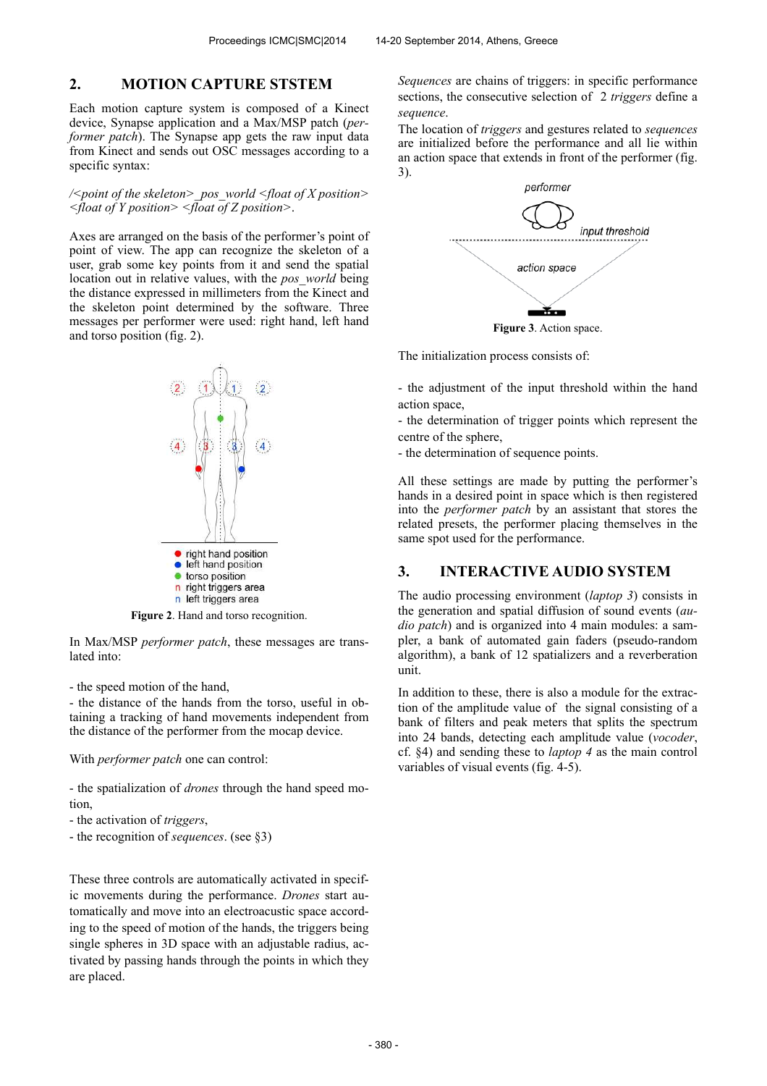#### **2. MOTION CAPTURE STSTEM**

Each motion capture system is composed of a Kinect device, Synapse application and a Max/MSP patch (*performer patch*). The Synapse app gets the raw input data from Kinect and sends out OSC messages according to a specific syntax:

*/<point of the skeleton>\_pos\_world <float of X position> <float of Y position> <float of Z position>*.

Axes are arranged on the basis of the performer's point of point of view. The app can recognize the skeleton of a user, grab some key points from it and send the spatial location out in relative values, with the *pos\_world* being the distance expressed in millimeters from the Kinect and the skeleton point determined by the software. Three messages per performer were used: right hand, left hand and torso position (fig. 2).



**Figure 2**. Hand and torso recognition.

In Max/MSP *performer patch*, these messages are translated into:

- the speed motion of the hand,

- the distance of the hands from the torso, useful in obtaining a tracking of hand movements independent from the distance of the performer from the mocap device.

With *performer patch* one can control:

- the spatialization of *drones* through the hand speed motion,

- the activation of *triggers*,
- the recognition of *sequences*. (see §3)

These three controls are automatically activated in specific movements during the performance. *Drones* start automatically and move into an electroacustic space according to the speed of motion of the hands, the triggers being single spheres in 3D space with an adjustable radius, activated by passing hands through the points in which they are placed.

*Sequences* are chains of triggers: in specific performance sections, the consecutive selection of 2 *triggers* define a *sequence*.

The location of *triggers* and gestures related to *sequences* are initialized before the performance and all lie within an action space that extends in front of the performer (fig. 3).



**Figure 3**. Action space.

The initialization process consists of:

- the adjustment of the input threshold within the hand action space,

- the determination of trigger points which represent the centre of the sphere,

- the determination of sequence points.

All these settings are made by putting the performer's hands in a desired point in space which is then registered into the *performer patch* by an assistant that stores the related presets, the performer placing themselves in the same spot used for the performance.

#### **3. INTERACTIVE AUDIO SYSTEM**

The audio processing environment (*laptop 3*) consists in the generation and spatial diffusion of sound events (*audio patch*) and is organized into 4 main modules: a sampler, a bank of automated gain faders (pseudo-random algorithm), a bank of 12 spatializers and a reverberation unit.

In addition to these, there is also a module for the extraction of the amplitude value of the signal consisting of a bank of filters and peak meters that splits the spectrum into 24 bands, detecting each amplitude value (*vocoder*, cf. §4) and sending these to *laptop 4* as the main control variables of visual events (fig. 4-5).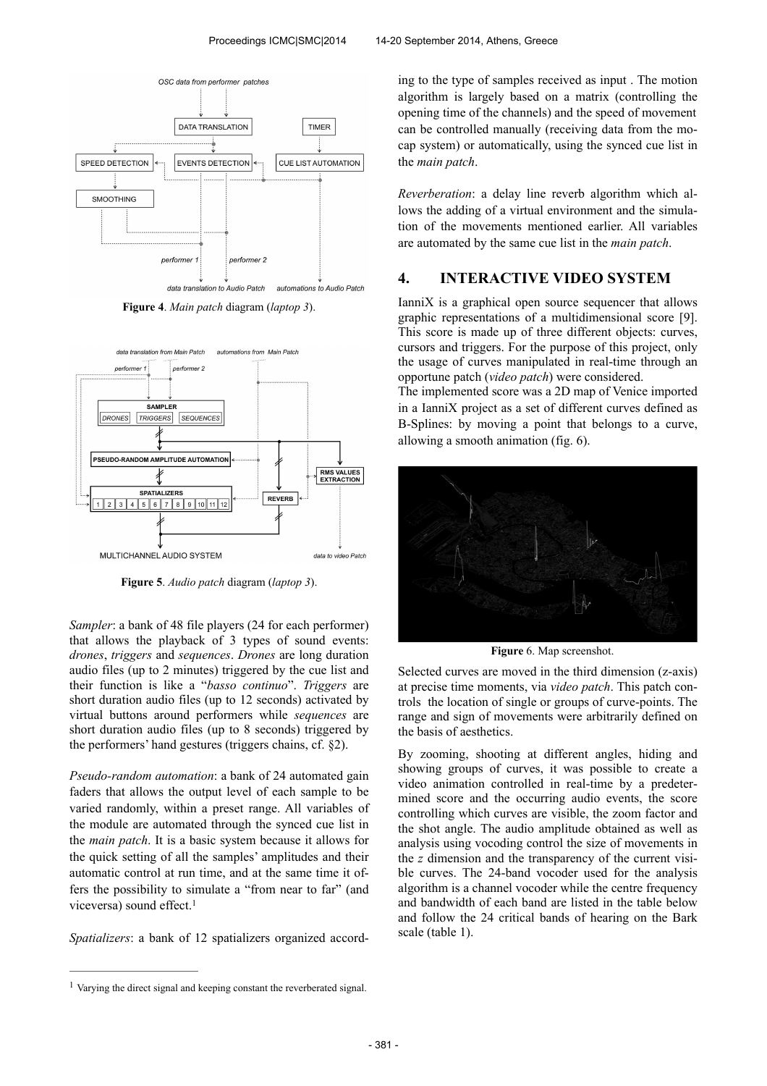

**Figure 4**. *Main patch* diagram (*laptop 3*).



**Figure 5**. *Audio patch* diagram (*laptop 3*).

*Sampler*: a bank of 48 file players (24 for each performer) that allows the playback of 3 types of sound events: *drones*, *triggers* and *sequences*. *Drones* are long duration audio files (up to 2 minutes) triggered by the cue list and their function is like a "*basso continuo*". *Triggers* are short duration audio files (up to 12 seconds) activated by virtual buttons around performers while *sequences* are short duration audio files (up to 8 seconds) triggered by the performers' hand gestures (triggers chains, cf. §2).

*Pseudo-random automation*: a bank of 24 automated gain faders that allows the output level of each sample to be varied randomly, within a preset range. All variables of the module are automated through the synced cue list in the *main patch*. It is a basic system because it allows for the quick setting of all the samples' amplitudes and their automatic control at run time, and at the same time it offers the possibility to simulate a "from near to far" (and viceversa) sound effect.<sup>1</sup>

*Spatializers*: a bank of 12 spatializers organized accord-

ing to the type of samples received as input . The motion algorithm is largely based on a matrix (controlling the opening time of the channels) and the speed of movement can be controlled manually (receiving data from the mocap system) or automatically, using the synced cue list in the *main patch*.

*Reverberation*: a delay line reverb algorithm which allows the adding of a virtual environment and the simulation of the movements mentioned earlier. All variables are automated by the same cue list in the *main patch*.

#### **4. INTERACTIVE VIDEO SYSTEM**

IanniX is a graphical open source sequencer that allows graphic representations of a multidimensional score [9]. This score is made up of three different objects: curves, cursors and triggers. For the purpose of this project, only the usage of curves manipulated in real-time through an opportune patch (*video patch*) were considered.

The implemented score was a 2D map of Venice imported in a IanniX project as a set of different curves defined as B-Splines: by moving a point that belongs to a curve, allowing a smooth animation (fig. 6).



**Figure** 6. Map screenshot.

Selected curves are moved in the third dimension (z-axis) at precise time moments, via *video patch*. This patch controls the location of single or groups of curve-points. The range and sign of movements were arbitrarily defined on the basis of aesthetics.

By zooming, shooting at different angles, hiding and showing groups of curves, it was possible to create a video animation controlled in real-time by a predetermined score and the occurring audio events, the score controlling which curves are visible, the zoom factor and the shot angle. The audio amplitude obtained as well as analysis using vocoding control the size of movements in the *z* dimension and the transparency of the current visible curves. The 24-band vocoder used for the analysis algorithm is a channel vocoder while the centre frequency and bandwidth of each band are listed in the table below and follow the 24 critical bands of hearing on the Bark scale (table 1).

<sup>&</sup>lt;sup>1</sup> Varying the direct signal and keeping constant the reverberated signal.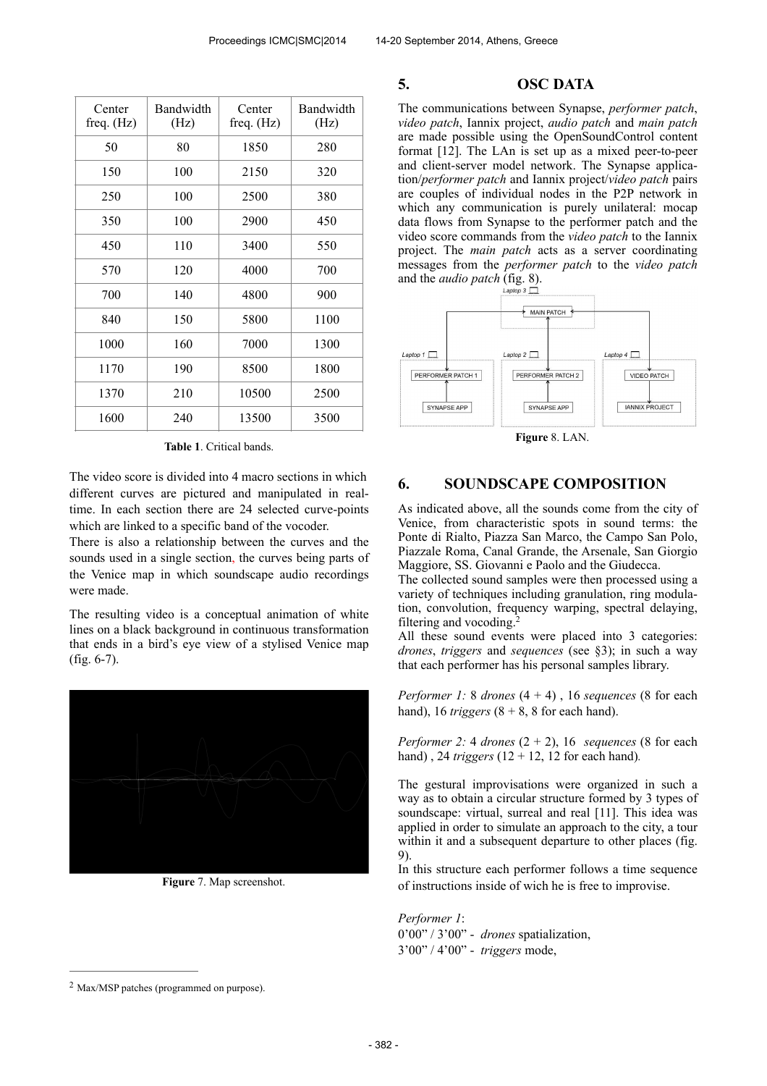| Center<br>freq. $(Hz)$ | Bandwidth<br>(Hz) | Center<br>freq. $(Hz)$ | Bandwidth<br>(Hz) |
|------------------------|-------------------|------------------------|-------------------|
| 50                     | 80                | 1850                   | 280               |
| 150                    | 100               | 2150                   | 320               |
| 250                    | 100               | 2500                   | 380               |
| 350                    | 100               | 2900                   | 450               |
| 450                    | 110               | 3400                   | 550               |
| 570                    | 120               | 4000                   | 700               |
| 700                    | 140               | 4800                   | 900               |
| 840                    | 150               | 5800                   | 1100              |
| 1000                   | 160               | 7000                   | 1300              |
| 1170                   | 190               | 8500                   | 1800              |
| 1370                   | 210               | 10500                  | 2500              |
| 1600                   | 240               | 13500                  | 3500              |

**Table 1**. Critical bands.

The video score is divided into 4 macro sections in which different curves are pictured and manipulated in realtime. In each section there are 24 selected curve-points which are linked to a specific band of the vocoder.

There is also a relationship between the curves and the sounds used in a single section, the curves being parts of the Venice map in which soundscape audio recordings were made.

The resulting video is a conceptual animation of white lines on a black background in continuous transformation that ends in a bird's eye view of a stylised Venice map (fig. 6-7).



**Figure** 7. Map screenshot.

#### **5. OSC DATA**

The communications between Synapse, *performer patch*, *video patch*, Iannix project, *audio patch* and *main patch* are made possible using the OpenSoundControl content format [12]. The LAn is set up as a mixed peer-to-peer and client-server model network. The Synapse application/*performer patch* and Iannix project/*video patch* pairs are couples of individual nodes in the P2P network in which any communication is purely unilateral: mocap data flows from Synapse to the performer patch and the video score commands from the *video patch* to the Iannix project. The *main patch* acts as a server coordinating messages from the *performer patch* to the *video patch* and the *audio patch* (fig. 8).



**Figure** 8. LAN.

### **6. SOUNDSCAPE COMPOSITION**

As indicated above, all the sounds come from the city of Venice, from characteristic spots in sound terms: the Ponte di Rialto, Piazza San Marco, the Campo San Polo, Piazzale Roma, Canal Grande, the Arsenale, San Giorgio Maggiore, SS. Giovanni e Paolo and the Giudecca.

The collected sound samples were then processed using a variety of techniques including granulation, ring modulation, convolution, frequency warping, spectral delaying, filtering and vocoding.<sup>2</sup>

All these sound events were placed into 3 categories: *drones*, *triggers* and *sequences* (see §3); in such a way that each performer has his personal samples library.

*Performer 1:* 8 *drones*  $(4 + 4)$ , 16 *sequences*  $(8$  for each hand), 16 *triggers*  $(8 + 8, 8)$  for each hand).

*Performer 2:* 4 *drones*  $(2 + 2)$ , 16 *sequences*  $(8$  for each hand) , 24 *triggers* (12 + 12, 12 for each hand)*.*

The gestural improvisations were organized in such a way as to obtain a circular structure formed by 3 types of soundscape: virtual, surreal and real [11]. This idea was applied in order to simulate an approach to the city, a tour within it and a subsequent departure to other places (fig. 9).

In this structure each performer follows a time sequence of instructions inside of wich he is free to improvise.

*Performer 1*: 0'00" / 3'00" - *drones* spatialization, 3'00" / 4'00" - *triggers* mode,

 $2$  Max/MSP patches (programmed on purpose).